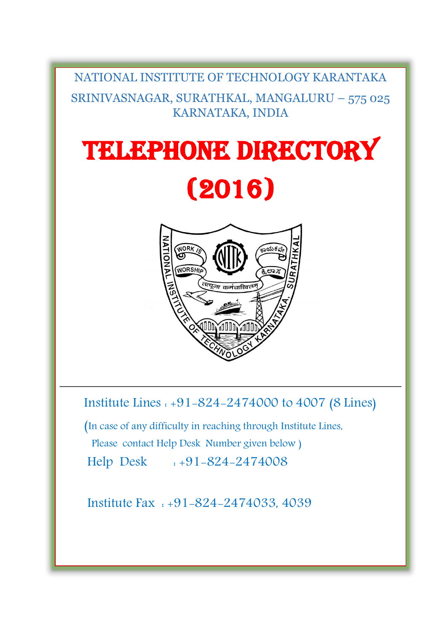# NATIONAL INSTITUTE OF TECHNOLOGY KARANTAKA SRINIVASNAGAR, SURATHKAL, MANGALURU – 575 025 KARNATAKA, INDIA

# TELEPHONE DIRECTORY (2016)



Institute Lines : +91-824-2474000 to 4007 (8 Lines)

 (In case of any difficulty in reaching through Institute Lines, Please contact Help Desk Number given below ) Help Desk : +91-824-2474008

Institute Fax : +91-824-2474033, 4039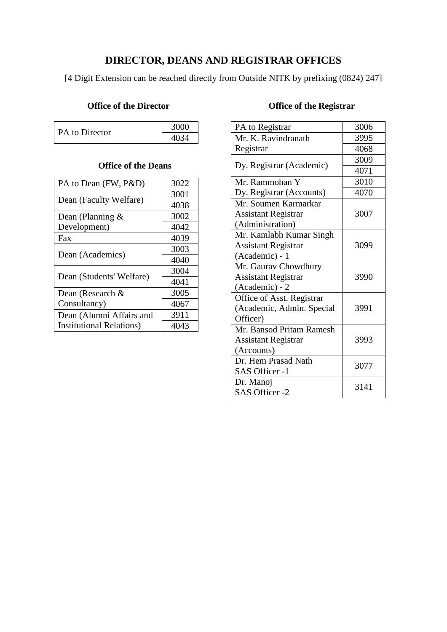#### **DIRECTOR, DEANS AND REGISTRAR OFFICES**

[4 Digit Extension can be reached directly from Outside NITK by prefixing (0824) 247]

#### **Office of the Director**

|                | 3000 |
|----------------|------|
| PA to Director | 4034 |

#### **Office of the Deans**

| PA to Dean (FW, P&D)             | 3022 |
|----------------------------------|------|
| Dean (Faculty Welfare)           | 3001 |
|                                  | 4038 |
| Dean (Planning $\&$              | 3002 |
| Development)                     | 4042 |
| Fax                              | 4039 |
| Dean (Academics)                 | 3003 |
|                                  | 4040 |
| Dean (Students' Welfare)         | 3004 |
|                                  | 4041 |
| Dean (Research &                 | 3005 |
| Consultancy)                     | 4067 |
| Dean (Alumni Affairs and         | 3911 |
| <b>Institutional Relations</b> ) | 4043 |

# **Office of the Registrar**

| PA to Registrar            | 3006 |
|----------------------------|------|
| Mr. K. Ravindranath        | 3995 |
| Registrar                  | 4068 |
| Dy. Registrar (Academic)   | 3009 |
|                            | 4071 |
| Mr. Rammohan Y             | 3010 |
| Dy. Registrar (Accounts)   | 4070 |
| Mr. Soumen Karmarkar       |      |
| <b>Assistant Registrar</b> | 3007 |
| (Administration)           |      |
| Mr. Kamlabh Kumar Singh    |      |
| <b>Assistant Registrar</b> | 3099 |
| (Academic) - 1             |      |
| Mr. Gaurav Chowdhury       |      |
| <b>Assistant Registrar</b> | 3990 |
| (Academic) - 2             |      |
| Office of Asst. Registrar  |      |
| (Academic, Admin. Special  | 3991 |
| Officer)                   |      |
| Mr. Bansod Pritam Ramesh   |      |
| <b>Assistant Registrar</b> | 3993 |
| (Accounts)                 |      |
| Dr. Hem Prasad Nath        | 3077 |
| SAS Officer -1             |      |
| Dr. Manoj                  | 3141 |
| SAS Officer -2             |      |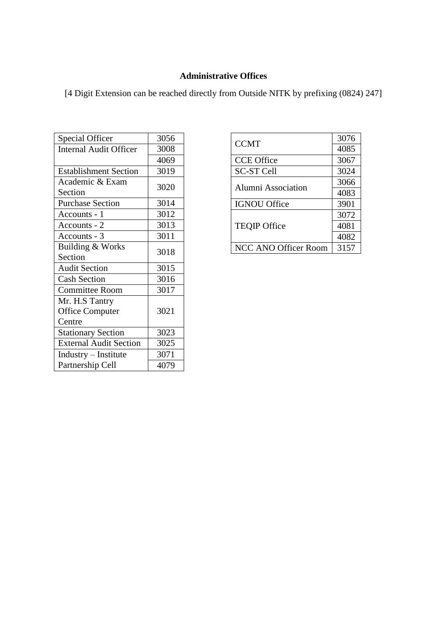#### **Administrative Offices**

| Special Officer               | 3056 |
|-------------------------------|------|
| <b>Internal Audit Officer</b> | 3008 |
|                               | 4069 |
| <b>Establishment Section</b>  | 3019 |
| Academic & Exam               | 3020 |
| Section                       |      |
| <b>Purchase Section</b>       | 3014 |
| Accounts - 1                  | 3012 |
| Accounts - 2                  | 3013 |
| Accounts - 3                  | 3011 |
| Building & Works              | 3018 |
| Section                       |      |
| <b>Audit Section</b>          | 3015 |
| <b>Cash Section</b>           | 3016 |
| <b>Committee Room</b>         | 3017 |
| Mr. H.S Tantry                |      |
| <b>Office Computer</b>        | 3021 |
| Centre                        |      |
| <b>Stationary Section</b>     | 3023 |
| <b>External Audit Section</b> | 3025 |
| Industry - Institute          | 3071 |
| Partnership Cell              | 4079 |

| <b>CCMT</b>                 | 3076 |
|-----------------------------|------|
|                             | 4085 |
| <b>CCE Office</b>           | 3067 |
| <b>SC-ST Cell</b>           | 3024 |
| Alumni Association          | 3066 |
|                             | 4083 |
| <b>IGNOU Office</b>         | 3901 |
| <b>TEQIP Office</b>         | 3072 |
|                             | 4081 |
|                             | 4082 |
| <b>NCC ANO Officer Room</b> | 3157 |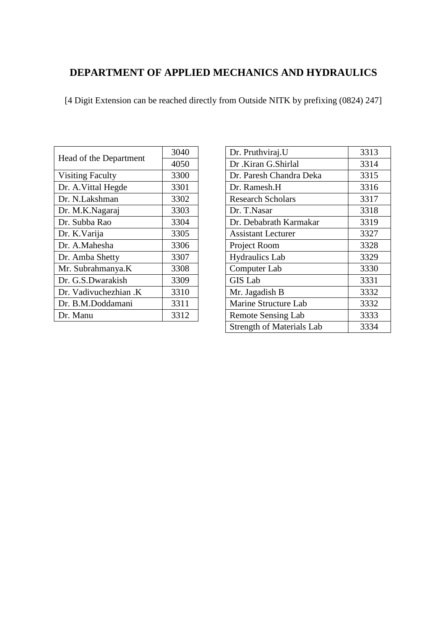# **DEPARTMENT OF APPLIED MECHANICS AND HYDRAULICS**

| Head of the Department  | 3040 |
|-------------------------|------|
|                         | 4050 |
| <b>Visiting Faculty</b> | 3300 |
| Dr. A. Vittal Hegde     | 3301 |
| Dr. N.Lakshman          | 3302 |
| Dr. M.K.Nagaraj         | 3303 |
| Dr. Subba Rao           | 3304 |
| Dr. K. Varija           | 3305 |
| Dr. A.Mahesha           | 3306 |
| Dr. Amba Shetty         | 3307 |
| Mr. Subrahmanya.K       | 3308 |
| Dr. G.S.Dwarakish       | 3309 |
| Dr. Vadivuchezhian .K   | 3310 |
| Dr. B.M.Doddamani       | 3311 |
| Dr. Manu                | 3312 |

| Dr. Pruthviraj.U                 | 3313 |
|----------------------------------|------|
| Dr.Kiran G.Shirlal               | 3314 |
| Dr. Paresh Chandra Deka          | 3315 |
| Dr. Ramesh.H                     | 3316 |
| <b>Research Scholars</b>         | 3317 |
| Dr. T.Nasar                      | 3318 |
| Dr. Debabrath Karmakar           | 3319 |
| <b>Assistant Lecturer</b>        | 3327 |
| Project Room                     | 3328 |
| <b>Hydraulics Lab</b>            | 3329 |
| Computer Lab                     | 3330 |
| <b>GIS Lab</b>                   | 3331 |
| Mr. Jagadish B                   | 3332 |
| Marine Structure Lab             | 3332 |
| <b>Remote Sensing Lab</b>        | 3333 |
| <b>Strength of Materials Lab</b> | 3334 |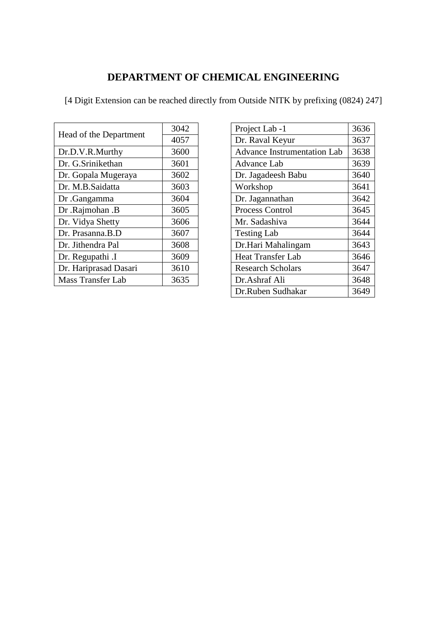#### **DEPARTMENT OF CHEMICAL ENGINEERING**

| Head of the Department   | 3042 |
|--------------------------|------|
|                          | 4057 |
| Dr.D.V.R.Murthy          | 3600 |
| Dr. G.Srinikethan        | 3601 |
| Dr. Gopala Mugeraya      | 3602 |
| Dr. M.B.Saidatta         | 3603 |
| Dr. Gangamma             | 3604 |
| Dr .Rajmohan .B          | 3605 |
| Dr. Vidya Shetty         | 3606 |
| Dr. Prasanna.B.D         | 3607 |
| Dr. Jithendra Pal        | 3608 |
| Dr. Regupathi .I         | 3609 |
| Dr. Hariprasad Dasari    | 3610 |
| <b>Mass Transfer Lab</b> | 3635 |

| Project Lab -1                     | 3636 |
|------------------------------------|------|
| Dr. Raval Keyur                    | 3637 |
| <b>Advance Instrumentation Lab</b> | 3638 |
| Advance Lab                        | 3639 |
| Dr. Jagadeesh Babu                 | 3640 |
| Workshop                           | 3641 |
| Dr. Jagannathan                    | 3642 |
| <b>Process Control</b>             | 3645 |
| Mr. Sadashiva                      | 3644 |
| <b>Testing Lab</b>                 | 3644 |
| Dr.Hari Mahalingam                 | 3643 |
| <b>Heat Transfer Lab</b>           | 3646 |
| <b>Research Scholars</b>           | 3647 |
| Dr.Ashraf Ali                      | 3648 |
| Dr.Ruben Sudhakar                  | 3649 |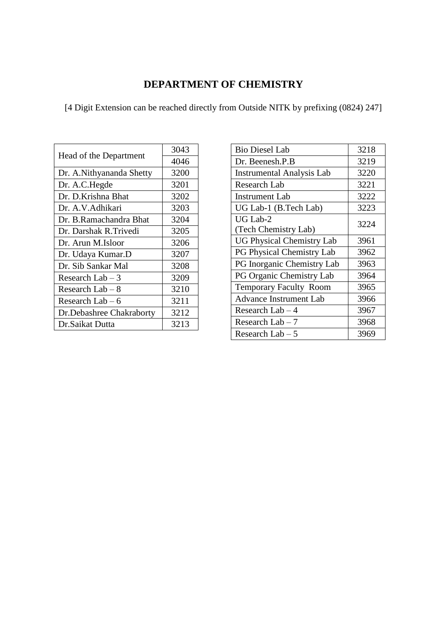# **DEPARTMENT OF CHEMISTRY**

| Head of the Department    | 3043 |
|---------------------------|------|
|                           | 4046 |
| Dr. A. Nithyananda Shetty | 3200 |
| Dr. A.C.Hegde             | 3201 |
| Dr. D.Krishna Bhat        | 3202 |
| Dr. A.V. Adhikari         | 3203 |
| Dr. B.Ramachandra Bhat    | 3204 |
| Dr. Darshak R. Trivedi    | 3205 |
| Dr. Arun M.Isloor         | 3206 |
| Dr. Udaya Kumar.D         | 3207 |
| Dr. Sib Sankar Mal        | 3208 |
| Research Lab $-3$         | 3209 |
| Research Lab $-8$         | 3210 |
| Research Lab $-6$         | 3211 |
| Dr.Debashree Chakraborty  | 3212 |
| Dr.Saikat Dutta           | 3213 |

| 3218 |
|------|
| 3219 |
| 3220 |
| 3221 |
| 3222 |
| 3223 |
| 3224 |
|      |
| 3961 |
| 3962 |
| 3963 |
| 3964 |
| 3965 |
| 3966 |
| 3967 |
| 3968 |
| 3969 |
|      |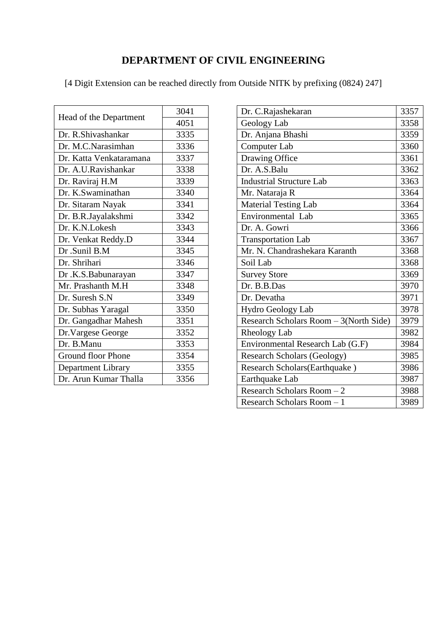# **DEPARTMENT OF CIVIL ENGINEERING**

| Head of the Department    | 3041 |
|---------------------------|------|
|                           | 4051 |
| Dr. R.Shivashankar        | 3335 |
| Dr. M.C.Narasimhan        | 3336 |
| Dr. Katta Venkataramana   | 3337 |
| Dr. A.U.Ravishankar       | 3338 |
| Dr. Raviraj H.M           | 3339 |
| Dr. K.Swaminathan         | 3340 |
| Dr. Sitaram Nayak         | 3341 |
| Dr. B.R.Jayalakshmi       | 3342 |
| Dr. K.N.Lokesh            | 3343 |
| Dr. Venkat Reddy.D        | 3344 |
| Dr .Sunil B.M             | 3345 |
| Dr. Shrihari              | 3346 |
| Dr .K.S.Babunarayan       | 3347 |
| Mr. Prashanth M.H         | 3348 |
| Dr. Suresh S.N            | 3349 |
| Dr. Subhas Yaragal        | 3350 |
| Dr. Gangadhar Mahesh      | 3351 |
| Dr. Vargese George        | 3352 |
| Dr. B.Manu                | 3353 |
| <b>Ground floor Phone</b> | 3354 |
| Department Library        | 3355 |
| Dr. Arun Kumar Thalla     | 3356 |

| Dr. C.Rajashekaran                     | 3357 |
|----------------------------------------|------|
| Geology Lab                            | 3358 |
| Dr. Anjana Bhashi                      | 3359 |
| Computer Lab                           | 3360 |
| Drawing Office                         | 3361 |
| Dr. A.S.Balu                           | 3362 |
| <b>Industrial Structure Lab</b>        | 3363 |
| Mr. Nataraja R                         | 3364 |
| <b>Material Testing Lab</b>            | 3364 |
| Environmental Lab                      | 3365 |
| Dr. A. Gowri                           | 3366 |
| <b>Transportation Lab</b>              | 3367 |
| Mr. N. Chandrashekara Karanth          | 3368 |
| Soil Lab                               | 3368 |
| <b>Survey Store</b>                    | 3369 |
| Dr. B.B.Das                            | 3970 |
| Dr. Devatha                            | 3971 |
| Hydro Geology Lab                      | 3978 |
| Research Scholars Room - 3(North Side) | 3979 |
| Rheology Lab                           | 3982 |
| Environmental Research Lab (G.F)       | 3984 |
| <b>Research Scholars (Geology)</b>     | 3985 |
| Research Scholars(Earthquake)          | 3986 |
| Earthquake Lab                         | 3987 |
|                                        |      |
| Research Scholars Room - 2             | 3988 |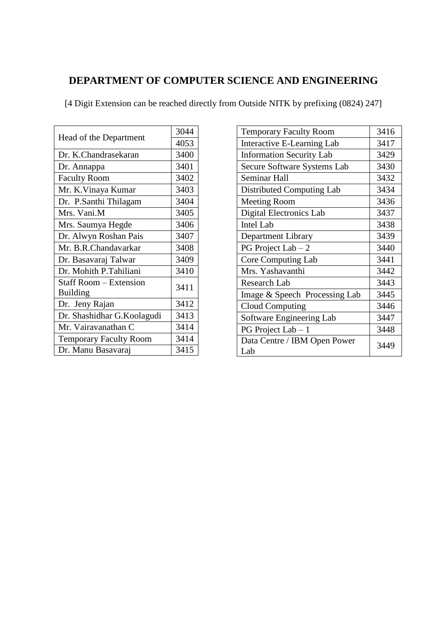# **DEPARTMENT OF COMPUTER SCIENCE AND ENGINEERING**

| Head of the Department        | 3044 |
|-------------------------------|------|
|                               | 4053 |
| Dr. K.Chandrasekaran          | 3400 |
| Dr. Annappa                   | 3401 |
| <b>Faculty Room</b>           | 3402 |
| Mr. K.Vinaya Kumar            | 3403 |
| Dr. P.Santhi Thilagam         | 3404 |
| Mrs. Vani.M                   | 3405 |
| Mrs. Saumya Hegde             | 3406 |
| Dr. Alwyn Roshan Pais         | 3407 |
| Mr. B.R.Chandavarkar          | 3408 |
| Dr. Basavaraj Talwar          | 3409 |
| Dr. Mohith P.Tahiliani        | 3410 |
| <b>Staff Room – Extension</b> | 3411 |
| <b>Building</b>               |      |
| Dr. Jeny Rajan                | 3412 |
| Dr. Shashidhar G.Koolagudi    | 3413 |
| Mr. Vairavanathan C           | 3414 |
| <b>Temporary Faculty Room</b> | 3414 |
| Dr. Manu Basavaraj            | 3415 |

| <b>Temporary Faculty Room</b>       | 3416 |
|-------------------------------------|------|
| Interactive E-Learning Lab          | 3417 |
| <b>Information Security Lab</b>     | 3429 |
| Secure Software Systems Lab         | 3430 |
| Seminar Hall                        | 3432 |
| Distributed Computing Lab           | 3434 |
| <b>Meeting Room</b>                 | 3436 |
| Digital Electronics Lab             | 3437 |
| <b>Intel Lab</b>                    | 3438 |
| Department Library                  | 3439 |
| PG Project Lab $-2$                 | 3440 |
| <b>Core Computing Lab</b>           | 3441 |
| Mrs. Yashavanthi                    | 3442 |
| <b>Research Lab</b>                 | 3443 |
| Image & Speech Processing Lab       | 3445 |
| <b>Cloud Computing</b>              | 3446 |
| Software Engineering Lab            | 3447 |
| PG Project Lab $-1$                 | 3448 |
| Data Centre / IBM Open Power<br>Lab | 3449 |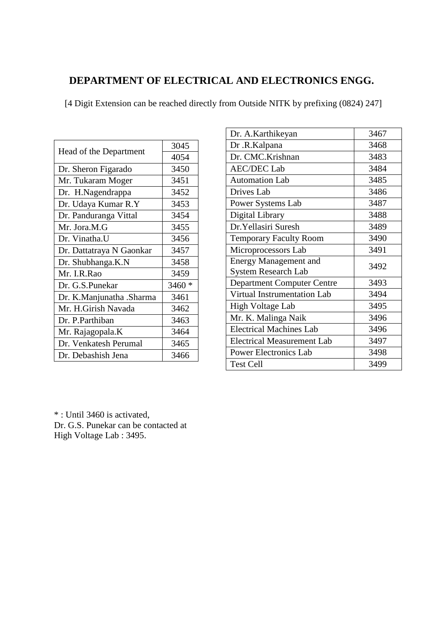#### **DEPARTMENT OF ELECTRICAL AND ELECTRONICS ENGG.**

[4 Digit Extension can be reached directly from Outside NITK by prefixing (0824) 247]

| Head of the Department   | 3045    |
|--------------------------|---------|
|                          | 4054    |
| Dr. Sheron Figarado      | 3450    |
| Mr. Tukaram Moger        | 3451    |
| Dr. H.Nagendrappa        | 3452    |
| Dr. Udaya Kumar R.Y      | 3453    |
| Dr. Panduranga Vittal    | 3454    |
| Mr. Jora.M.G             | 3455    |
| Dr. Vinatha.U            | 3456    |
| Dr. Dattatraya N Gaonkar | 3457    |
| Dr. Shubhanga.K.N        | 3458    |
| Mr. I.R.Rao              | 3459    |
| Dr. G.S.Punekar          | $3460*$ |
| Dr. K.Manjunatha .Sharma | 3461    |
| Mr. H.Girish Navada      | 3462    |
| Dr. P. Parthiban         | 3463    |
| Mr. Rajagopala.K         | 3464    |
| Dr. Venkatesh Perumal    | 3465    |
| Dr. Debashish Jena       | 3466    |

| Dr. A.Karthikeyan                 | 3467 |
|-----------------------------------|------|
| Dr.R.Kalpana                      | 3468 |
| Dr. CMC.Krishnan                  | 3483 |
| <b>AEC/DEC</b> Lab                | 3484 |
| <b>Automation Lab</b>             | 3485 |
| Drives Lab                        | 3486 |
| Power Systems Lab                 | 3487 |
| Digital Library                   | 3488 |
| Dr. Yellasiri Suresh              | 3489 |
| <b>Temporary Faculty Room</b>     | 3490 |
| Microprocessors Lab               | 3491 |
| <b>Energy Management and</b>      | 3492 |
| <b>System Research Lab</b>        |      |
| <b>Department Computer Centre</b> | 3493 |
| Virtual Instrumentation Lab       | 3494 |
| High Voltage Lab                  | 3495 |
| Mr. K. Malinga Naik               | 3496 |
| <b>Electrical Machines Lab</b>    | 3496 |
| <b>Electrical Measurement Lab</b> | 3497 |
| <b>Power Electronics Lab</b>      | 3498 |
| <b>Test Cell</b>                  | 3499 |
|                                   |      |

\* : Until 3460 is activated, Dr. G.S. Punekar can be contacted at High Voltage Lab : 3495.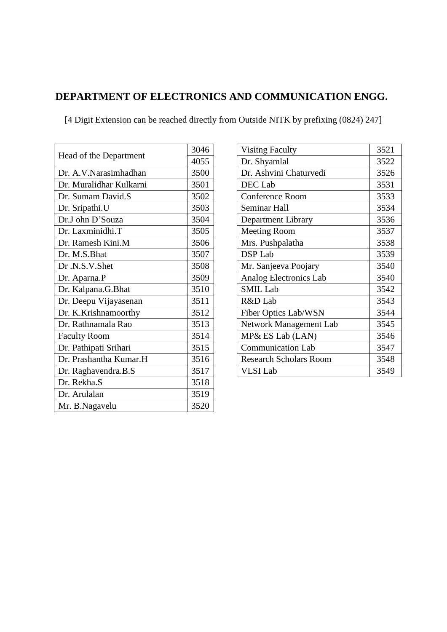#### **DEPARTMENT OF ELECTRONICS AND COMMUNICATION ENGG.**

| Head of the Department  | 3046 |
|-------------------------|------|
|                         | 4055 |
| Dr. A.V.Narasimhadhan   | 3500 |
| Dr. Muralidhar Kulkarni | 3501 |
| Dr. Sumam David.S       | 3502 |
| Dr. Sripathi.U          | 3503 |
| Dr.J ohn D'Souza        | 3504 |
| Dr. Laxminidhi.T        | 3505 |
| Dr. Ramesh Kini.M       | 3506 |
| Dr. M.S.Bhat            | 3507 |
| Dr.N.S.V.Shet           | 3508 |
| Dr. Aparna.P            | 3509 |
| Dr. Kalpana.G.Bhat      | 3510 |
| Dr. Deepu Vijayasenan   | 3511 |
| Dr. K.Krishnamoorthy    | 3512 |
| Dr. Rathnamala Rao      | 3513 |
| <b>Faculty Room</b>     | 3514 |
| Dr. Pathipati Srihari   | 3515 |
| Dr. Prashantha Kumar.H  | 3516 |
| Dr. Raghavendra.B.S     | 3517 |
| Dr. Rekha.S             | 3518 |
| Dr. Arulalan            | 3519 |
| Mr. B.Nagavelu          | 3520 |

| <b>Visitng Faculty</b>        | 3521 |
|-------------------------------|------|
| Dr. Shyamlal                  | 3522 |
| Dr. Ashvini Chaturvedi        | 3526 |
| DEC Lab                       | 3531 |
| <b>Conference Room</b>        | 3533 |
| Seminar Hall                  | 3534 |
| Department Library            | 3536 |
| <b>Meeting Room</b>           | 3537 |
| Mrs. Pushpalatha              | 3538 |
| <b>DSP</b> Lab                | 3539 |
| Mr. Sanjeeva Poojary          | 3540 |
| <b>Analog Electronics Lab</b> | 3540 |
| <b>SMIL Lab</b>               | 3542 |
| R&D Lab                       | 3543 |
| <b>Fiber Optics Lab/WSN</b>   | 3544 |
| Network Management Lab        | 3545 |
| MP& ES Lab (LAN)              | 3546 |
| <b>Communication Lab</b>      | 3547 |
| <b>Research Scholars Room</b> | 3548 |
| <b>VLSI</b> Lab               | 3549 |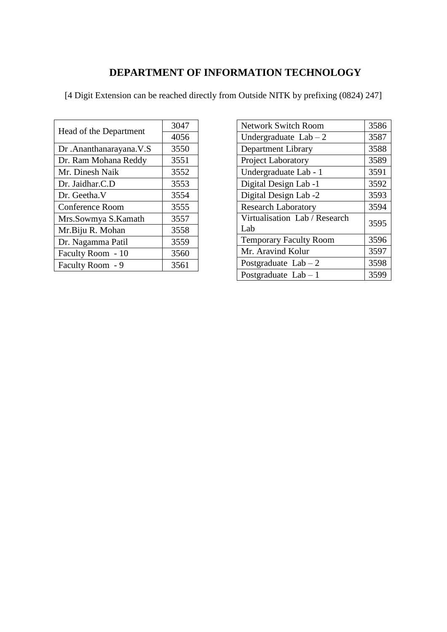# **DEPARTMENT OF INFORMATION TECHNOLOGY**

| Head of the Department   | 3047 |
|--------------------------|------|
|                          | 4056 |
| Dr. Ananthanarayana. V.S | 3550 |
| Dr. Ram Mohana Reddy     | 3551 |
| Mr. Dinesh Naik          | 3552 |
| Dr. Jaidhar.C.D          | 3553 |
| Dr. Geetha V             | 3554 |
| Conference Room          | 3555 |
| Mrs.Sowmya S.Kamath      | 3557 |
| Mr.Biju R. Mohan         | 3558 |
| Dr. Nagamma Patil        | 3559 |
| Faculty Room - 10        | 3560 |
| Faculty Room - 9         | 3561 |

| <b>Network Switch Room</b>           | 3586 |
|--------------------------------------|------|
| Undergraduate $Lab - 2$              | 3587 |
| Department Library                   | 3588 |
| Project Laboratory                   | 3589 |
| Undergraduate Lab - 1                | 3591 |
| Digital Design Lab -1                | 3592 |
| Digital Design Lab -2                | 3593 |
| <b>Research Laboratory</b>           | 3594 |
| Virtualisation Lab / Research<br>Lab | 3595 |
| <b>Temporary Faculty Room</b>        | 3596 |
| Mr. Aravind Kolur                    | 3597 |
| Postgraduate $Lab - 2$               | 3598 |
| Postgraduate $Lab - 1$               | 3599 |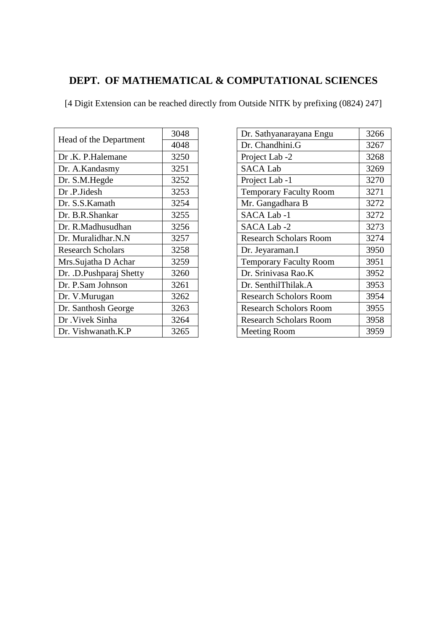# **DEPT. OF MATHEMATICAL & COMPUTATIONAL SCIENCES**

| Head of the Department   | 3048 |
|--------------------------|------|
|                          | 4048 |
| Dr.K. P.Halemane         | 3250 |
| Dr. A.Kandasmy           | 3251 |
| Dr. S.M.Hegde            | 3252 |
| Dr.P.Jidesh              | 3253 |
| Dr. S.S.Kamath           | 3254 |
| Dr. B.R.Shankar          | 3255 |
| Dr. R.Madhusudhan        | 3256 |
| Dr. Muralidhar.N.N       | 3257 |
| <b>Research Scholars</b> | 3258 |
| Mrs.Sujatha D Achar      | 3259 |
| Dr. .D.Pushparaj Shetty  | 3260 |
| Dr. P.Sam Johnson        | 3261 |
| Dr. V.Murugan            | 3262 |
| Dr. Santhosh George      | 3263 |
| Dr. Vivek Sinha          | 3264 |
| Dr. Vishwanath.K.P       | 3265 |

| Dr. Sathyanarayana Engu       | 3266 |
|-------------------------------|------|
| Dr. Chandhini.G               | 3267 |
| Project Lab -2                | 3268 |
| <b>SACA Lab</b>               | 3269 |
| Project Lab -1                | 3270 |
| <b>Temporary Faculty Room</b> | 3271 |
| Mr. Gangadhara B              | 3272 |
| SACA Lab -1                   | 3272 |
| SACA Lab -2                   | 3273 |
| <b>Research Scholars Room</b> | 3274 |
| Dr. Jeyaraman.I               | 3950 |
| <b>Temporary Faculty Room</b> | 3951 |
| Dr. Srinivasa Rao.K           | 3952 |
| Dr. SenthilThilak.A           | 3953 |
| <b>Research Scholors Room</b> | 3954 |
| <b>Research Scholors Room</b> | 3955 |
| Research Scholars Room        | 3958 |
| <b>Meeting Room</b>           | 3959 |
|                               |      |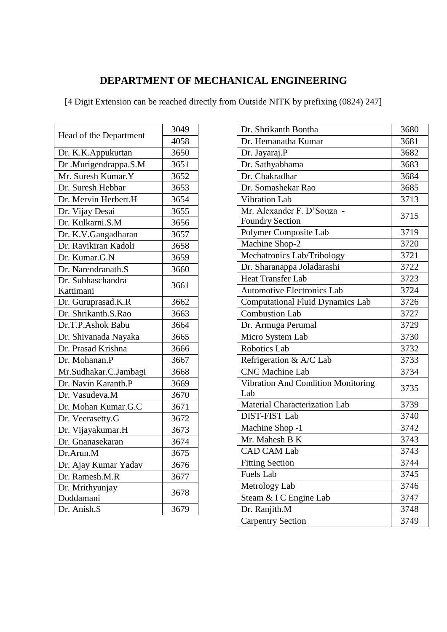# **DEPARTMENT OF MECHANICAL ENGINEERING**

| Head of the Department | 3049 |
|------------------------|------|
|                        | 4058 |
| Dr. K.K.Appukuttan     | 3650 |
| Dr .Murigendrappa.S.M  | 3651 |
| Mr. Suresh Kumar.Y     | 3652 |
| Dr. Suresh Hebbar      | 3653 |
| Dr. Mervin Herbert.H   | 3654 |
| Dr. Vijay Desai        | 3655 |
| Dr. Kulkarni.S.M       | 3656 |
| Dr. K.V.Gangadharan    | 3657 |
| Dr. Ravikiran Kadoli   | 3658 |
| Dr. Kumar.G.N          | 3659 |
| Dr. Narendranath.S     | 3660 |
| Dr. Subhaschandra      | 3661 |
| Kattimani              |      |
| Dr. Guruprasad.K.R     | 3662 |
| Dr. Shrikanth.S.Rao    | 3663 |
| Dr.T.P.Ashok Babu      | 3664 |
| Dr. Shivanada Nayaka   | 3665 |
| Dr. Prasad Krishna     | 3666 |
| Dr. Mohanan.P          | 3667 |
| Mr.Sudhakar.C.Jambagi  | 3668 |
| Dr. Navin Karanth.P    | 3669 |
| Dr. Vasudeva.M         | 3670 |
| Dr. Mohan Kumar.G.C    | 3671 |
| Dr. Veerasetty.G       | 3672 |
| Dr. Vijayakumar.H      | 3673 |
| Dr. Gnanasekaran       | 3674 |
| Dr.Arun.M              | 3675 |
| Dr. Ajay Kumar Yadav   | 3676 |
| Dr. Ramesh.M.R         | 3677 |
| Dr. Mrithyunjay        | 3678 |
| Doddamani              |      |
| Dr. Anish.S            | 3679 |

| Dr. Shrikanth Bontha                             | 3680 |
|--------------------------------------------------|------|
| Dr. Hemanatha Kumar                              | 3681 |
| Dr. Jayaraj.P                                    | 3682 |
| Dr. Sathyabhama                                  | 3683 |
| Dr. Chakradhar                                   | 3684 |
| Dr. Somashekar Rao                               | 3685 |
| Vibration Lab                                    | 3713 |
| Mr. Alexander F. D'Souza -                       | 3715 |
| <b>Foundry Section</b>                           |      |
| Polymer Composite Lab                            | 3719 |
| Machine Shop-2                                   | 3720 |
| Mechatronics Lab/Tribology                       | 3721 |
| Dr. Sharanappa Joladarashi                       | 3722 |
| <b>Heat Transfer Lab</b>                         | 3723 |
| <b>Automotive Electronics Lab</b>                | 3724 |
| <b>Computational Fluid Dynamics Lab</b>          | 3726 |
| <b>Combustion Lab</b>                            | 3727 |
| Dr. Armuga Perumal                               | 3729 |
| Micro System Lab                                 | 3730 |
| <b>Robotics Lab</b>                              | 3732 |
| Refrigeration & A/C Lab                          | 3733 |
| <b>CNC</b> Machine Lab                           | 3734 |
| <b>Vibration And Condition Monitoring</b><br>Lab | 3735 |
| Material Characterization Lab                    | 3739 |
| <b>DIST-FIST Lab</b>                             | 3740 |
| Machine Shop -1                                  | 3742 |
| Mr. Mahesh B K                                   | 3743 |
| <b>CAD CAM Lab</b>                               | 3743 |
| <b>Fitting Section</b>                           | 3744 |
| Fuels Lab                                        | 3745 |
| Metrology Lab                                    | 3746 |
| Steam & I C Engine Lab                           | 3747 |
| Dr. Ranjith.M                                    | 3748 |
| <b>Carpentry Section</b>                         | 3749 |
|                                                  |      |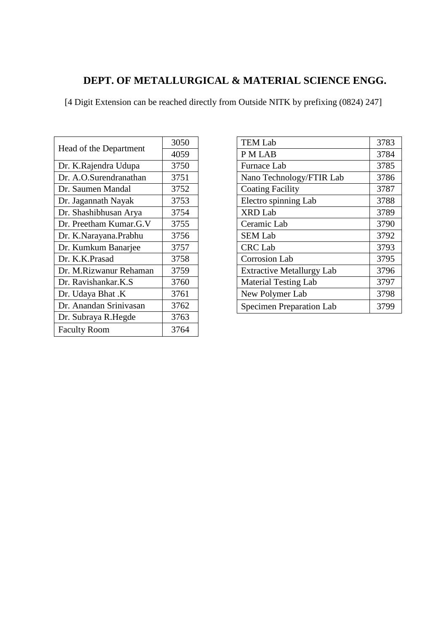#### **DEPT. OF METALLURGICAL & MATERIAL SCIENCE ENGG.**

| Head of the Department | 3050 |
|------------------------|------|
|                        | 4059 |
| Dr. K.Rajendra Udupa   | 3750 |
| Dr. A.O.Surendranathan | 3751 |
| Dr. Saumen Mandal      | 3752 |
| Dr. Jagannath Nayak    | 3753 |
| Dr. Shashibhusan Arya  | 3754 |
| Dr. Preetham Kumar.G.V | 3755 |
| Dr. K.Narayana.Prabhu  | 3756 |
| Dr. Kumkum Banarjee    | 3757 |
| Dr. K.K.Prasad         | 3758 |
| Dr. M.Rizwanur Rehaman | 3759 |
| Dr. Ravishankar.K.S    | 3760 |
| Dr. Udaya Bhat .K      | 3761 |
| Dr. Anandan Srinivasan | 3762 |
| Dr. Subraya R.Hegde    | 3763 |
| <b>Faculty Room</b>    | 3764 |

| <b>TEM Lab</b>                   | 3783 |
|----------------------------------|------|
| <b>PMLAB</b>                     | 3784 |
| Furnace Lab                      | 3785 |
| Nano Technology/FTIR Lab         | 3786 |
| <b>Coating Facility</b>          | 3787 |
| Electro spinning Lab             | 3788 |
| <b>XRD</b> Lab                   | 3789 |
| Ceramic Lab                      | 3790 |
| <b>SEM Lab</b>                   | 3792 |
| <b>CRC</b> Lab                   | 3793 |
| <b>Corrosion Lab</b>             | 3795 |
| <b>Extractive Metallurgy Lab</b> | 3796 |
| <b>Material Testing Lab</b>      | 3797 |
| New Polymer Lab                  | 3798 |
| <b>Specimen Preparation Lab</b>  | 3799 |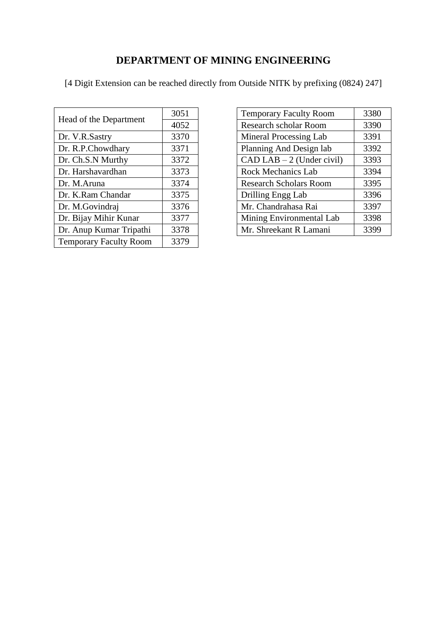# **DEPARTMENT OF MINING ENGINEERING**

| Head of the Department        | 3051 |
|-------------------------------|------|
|                               | 4052 |
| Dr. V.R.Sastry                | 3370 |
| Dr. R.P.Chowdhary             | 3371 |
| Dr. Ch.S.N Murthy             | 3372 |
| Dr. Harshavardhan             | 3373 |
| Dr. M.Aruna                   | 3374 |
| Dr. K.Ram Chandar             | 3375 |
| Dr. M.Govindraj               | 3376 |
| Dr. Bijay Mihir Kunar         | 3377 |
| Dr. Anup Kumar Tripathi       | 3378 |
| <b>Temporary Faculty Room</b> | 3379 |

| <b>Temporary Faculty Room</b> | 3380 |
|-------------------------------|------|
| Research scholar Room         | 3390 |
| Mineral Processing Lab        | 3391 |
| Planning And Design lab       | 3392 |
| $CAD$ LAB $-2$ (Under civil)  | 3393 |
| Rock Mechanics Lab            | 3394 |
| <b>Research Scholars Room</b> | 3395 |
| Drilling Engg Lab             | 3396 |
| Mr. Chandrahasa Rai           | 3397 |
| Mining Environmental Lab      | 3398 |
| Mr. Shreekant R Lamani        | 3399 |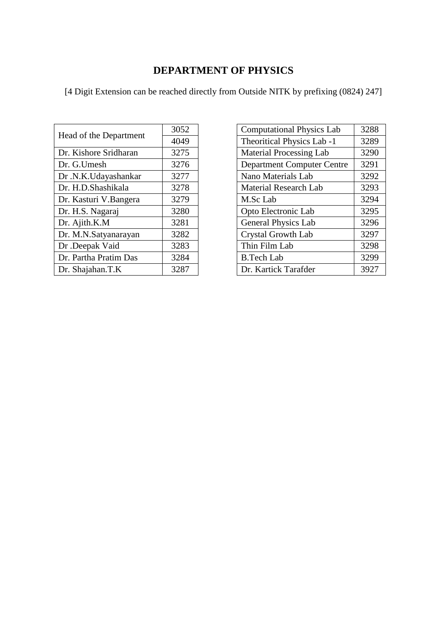#### **DEPARTMENT OF PHYSICS**

| Head of the Department | 3052 |
|------------------------|------|
|                        | 4049 |
| Dr. Kishore Sridharan  | 3275 |
| Dr. G.Umesh            | 3276 |
| Dr.N.K.Udayashankar    | 3277 |
| Dr. H.D.Shashikala     | 3278 |
| Dr. Kasturi V.Bangera  | 3279 |
| Dr. H.S. Nagaraj       | 3280 |
| Dr. Ajith.K.M          | 3281 |
| Dr. M.N.Satyanarayan   | 3282 |
| Dr .Deepak Vaid        | 3283 |
| Dr. Partha Pratim Das  | 3284 |
| Dr. Shajahan.T.K       | 3287 |

| <b>Computational Physics Lab</b>  | 3288 |
|-----------------------------------|------|
| Theoritical Physics Lab -1        | 3289 |
| <b>Material Processing Lab</b>    | 3290 |
| <b>Department Computer Centre</b> | 3291 |
| Nano Materials Lab                | 3292 |
| <b>Material Research Lab</b>      | 3293 |
| M.Sc Lab                          | 3294 |
| Opto Electronic Lab               | 3295 |
| <b>General Physics Lab</b>        | 3296 |
| <b>Crystal Growth Lab</b>         | 3297 |
| Thin Film Lab                     | 3298 |
| B.Tech Lab                        | 3299 |
| Dr. Kartick Tarafder              | 3927 |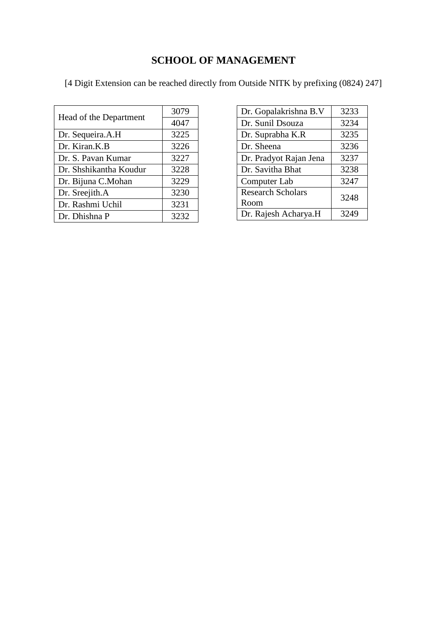# **SCHOOL OF MANAGEMENT**

| Head of the Department | 3079 |
|------------------------|------|
|                        | 4047 |
| Dr. Sequeira.A.H       | 3225 |
| Dr. Kiran.K.B          | 3226 |
| Dr. S. Pavan Kumar     | 3227 |
| Dr. Shshikantha Koudur | 3228 |
| Dr. Bijuna C.Mohan     | 3229 |
| Dr. Sreejith.A         | 3230 |
| Dr. Rashmi Uchil       | 3231 |
| Dr. Dhishna P          | 3232 |

| Dr. Gopalakrishna B.V            | 3233 |
|----------------------------------|------|
| Dr. Sunil Dsouza                 | 3234 |
| Dr. Suprabha K.R                 | 3235 |
| Dr. Sheena                       | 3236 |
| Dr. Pradyot Rajan Jena           | 3237 |
| Dr. Savitha Bhat                 | 3238 |
| Computer Lab                     | 3247 |
| <b>Research Scholars</b><br>Room | 3248 |
| Dr. Rajesh Acharya.H             | 3249 |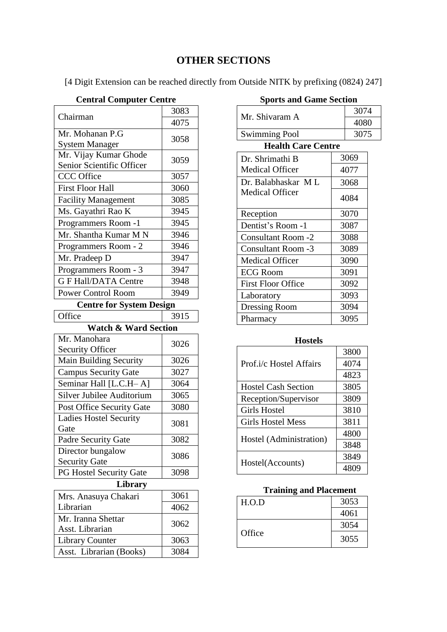#### **OTHER SECTIONS**

[4 Digit Extension can be reached directly from Outside NITK by prefixing (0824) 247]

#### **Central Computer Centre**

| Chairman                                           | 3083         |  |
|----------------------------------------------------|--------------|--|
|                                                    | 4075         |  |
| Mr. Mohanan P.G                                    | 3058         |  |
| <b>System Manager</b>                              |              |  |
| Mr. Vijay Kumar Ghode<br>Senior Scientific Officer | 3059         |  |
| <b>CCC</b> Office                                  | 3057         |  |
| <b>First Floor Hall</b>                            | 3060         |  |
| <b>Facility Management</b>                         | 3085         |  |
| Ms. Gayathri Rao K                                 | 3945         |  |
| Programmers Room -1                                | 3945         |  |
| Mr. Shantha Kumar MN                               | 3946         |  |
| Programmers Room - 2                               | 3946         |  |
| Mr. Pradeep D                                      | 3947         |  |
| Programmers Room - 3                               | 3947         |  |
| <b>G F Hall/DATA Centre</b>                        | 3948         |  |
| <b>Power Control Room</b>                          | 3949         |  |
| <b>Centre for System Design</b>                    |              |  |
| Office                                             | 3915         |  |
| <b>Watch &amp; Ward Section</b>                    |              |  |
| Mr. Manohara                                       | 3026         |  |
| <b>Security Officer</b>                            |              |  |
| Main Building Security                             | 3026         |  |
| <b>Campus Security Gate</b>                        | 3027         |  |
| Seminar Hall [L.C.H-A]                             | 3064         |  |
| Silver Jubilee Auditorium                          | 3065         |  |
| Post Office Security Gate                          | 3080         |  |
| <b>Ladies Hostel Security</b><br>Gate              | 3081         |  |
|                                                    |              |  |
|                                                    |              |  |
| Padre Security Gate<br>Director bungalow           | 3082<br>3086 |  |
| <b>Security Gate</b>                               |              |  |
| <b>PG Hostel Security Gate</b>                     | 3098         |  |
| Library<br>Mrs. Anasuya Chakari                    | 3061         |  |

| Mrs. Anasuya Chakari                  | 3061 |
|---------------------------------------|------|
| Librarian                             | 4062 |
| Mr. Iranna Shettar<br>Asst. Librarian | 3062 |
| <b>Library Counter</b>                | 3063 |
| Asst. Librarian (Books)               | 3084 |

| <b>Sports and Game Section</b> |      |      |  |
|--------------------------------|------|------|--|
|                                |      | 3074 |  |
| Mr. Shivaram A                 | 4080 |      |  |
| <b>Swimming Pool</b>           |      | 3075 |  |
| <b>Health Care Centre</b>      |      |      |  |
| Dr. Shrimathi B                |      | 3069 |  |
| <b>Medical Officer</b>         |      | 4077 |  |
| Dr. Balabhaskar ML             | 3068 |      |  |
| <b>Medical Officer</b>         |      | 4084 |  |
| Reception                      |      | 3070 |  |
| Dentist's Room -1              |      | 3087 |  |
| <b>Consultant Room -2</b>      |      | 3088 |  |
| <b>Consultant Room -3</b>      |      | 3089 |  |
| <b>Medical Officer</b>         |      | 3090 |  |
| <b>ECG Room</b>                |      | 3091 |  |
| <b>First Floor Office</b>      |      | 3092 |  |
| Laboratory                     |      | 3093 |  |
| <b>Dressing Room</b>           |      | 3094 |  |

#### **Hostels**

Pharmacy 3095

| Prof.i/c Hostel Affairs    | 3800 |
|----------------------------|------|
|                            | 4074 |
|                            | 4823 |
| <b>Hostel Cash Section</b> | 3805 |
| Reception/Supervisor       | 3809 |
| Girls Hostel               | 3810 |
| <b>Girls Hostel Mess</b>   | 3811 |
| Hostel (Administration)    | 4800 |
|                            | 3848 |
| Hostel(Accounts)           | 3849 |
|                            | 4809 |

#### **Training and Placement**

| H.O.D  | 3053 |
|--------|------|
|        | 4061 |
| Office | 3054 |
|        | 3055 |

#### **Sports and Game Section**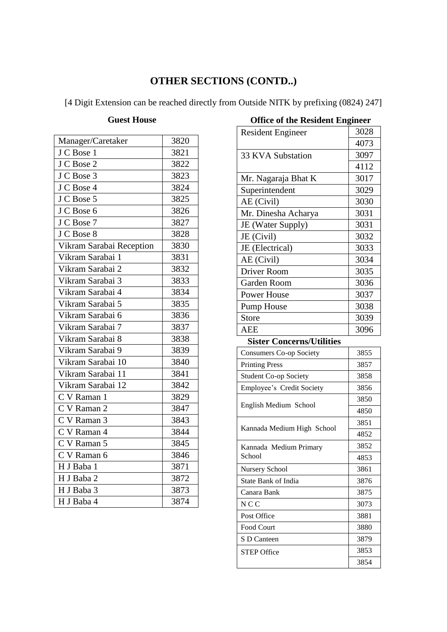# **OTHER SECTIONS (CONTD..)**

[4 Digit Extension can be reached directly from Outside NITK by prefixing (0824) 247]

#### **Guest House**

| Manager/Caretaker        | 3820 |
|--------------------------|------|
| J C Bose 1               | 3821 |
| J C Bose 2               | 3822 |
| J C Bose 3               | 3823 |
| J C Bose 4               | 3824 |
| J C Bose 5               | 3825 |
| J C Bose 6               | 3826 |
| J C Bose 7               | 3827 |
| J C Bose 8               | 3828 |
| Vikram Sarabai Reception | 3830 |
| Vikram Sarabai 1         | 3831 |
| Vikram Sarabai 2         | 3832 |
| Vikram Sarabai 3         | 3833 |
| Vikram Sarabai 4         | 3834 |
| Vikram Sarabai 5         | 3835 |
| Vikram Sarabai 6         | 3836 |
| Vikram Sarabai 7         | 3837 |
| Vikram Sarabai 8         | 3838 |
| Vikram Sarabai 9         | 3839 |
| Vikram Sarabai 10        | 3840 |
| Vikram Sarabai 11        | 3841 |
| Vikram Sarabai 12        | 3842 |
| C V Raman 1              | 3829 |
| C V Raman 2              | 3847 |
| C V Raman 3              | 3843 |
| C V Raman 4              | 3844 |
| C V Raman 5              | 3845 |
| C V Raman 6              | 3846 |
| H J Baba 1               | 3871 |
| H J Baba 2               | 3872 |
| H J Baba 3               | 3873 |
| H J Baba 4               | 3874 |

| OTHER OF THE INESIDENT ENGINEER  |      |
|----------------------------------|------|
| <b>Resident Engineer</b>         | 3028 |
|                                  | 4073 |
| 33 KVA Substation                | 3097 |
|                                  | 4112 |
| Mr. Nagaraja Bhat K              | 3017 |
| Superintendent                   | 3029 |
| AE (Civil)                       | 3030 |
| Mr. Dinesha Acharya              | 3031 |
| JE (Water Supply)                | 3031 |
| JE (Civil)                       | 3032 |
| JE (Electrical)                  | 3033 |
| AE (Civil)                       | 3034 |
| Driver Room                      | 3035 |
| <b>Garden Room</b>               | 3036 |
| <b>Power House</b>               | 3037 |
| Pump House                       | 3038 |
| <b>Store</b>                     | 3039 |
| <b>AEE</b>                       | 3096 |
| <b>Sister Concerns/Utilities</b> |      |
| <b>Consumers Co-op Society</b>   | 3855 |
| <b>Printing Press</b>            | 3857 |
| <b>Student Co-op Society</b>     | 3858 |
| Employee's Credit Society        | 3856 |
| English Medium School            | 3850 |
|                                  | 4850 |
| Kannada Medium High School       | 3851 |
|                                  | 4852 |
| Kannada Medium Primary           | 3852 |
| School                           | 4853 |
| Nursery School                   | 3861 |
| State Bank of India              | 3876 |
| Canara Bank                      | 3875 |
| N <sub>C</sub> C                 | 3073 |
| Post Office                      | 3881 |
| Food Court                       | 3880 |
| S D Canteen                      | 3879 |
| <b>STEP Office</b>               | 3853 |
|                                  | 3854 |

#### **Office of the Resident Engineer**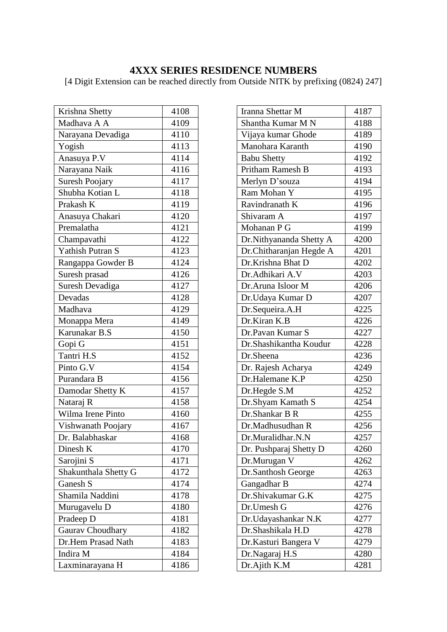#### **4XXX SERIES RESIDENCE NUMBERS**

| Krishna Shetty          | 4108 |
|-------------------------|------|
| Madhava A A             | 4109 |
| Narayana Devadiga       | 4110 |
| Yogish                  | 4113 |
| Anasuya P.V             | 4114 |
| Narayana Naik           | 4116 |
| <b>Suresh Poojary</b>   | 4117 |
| Shubha Kotian L         | 4118 |
| Prakash K               | 4119 |
| Anasuya Chakari         | 4120 |
| Premalatha              | 4121 |
| Champavathi             | 4122 |
| <b>Yathish Putran S</b> | 4123 |
| Rangappa Gowder B       | 4124 |
| Suresh prasad           | 4126 |
| Suresh Devadiga         | 4127 |
| Devadas                 | 4128 |
| Madhava                 | 4129 |
| Monappa Mera            | 4149 |
| Karunakar B.S           | 4150 |
| Gopi G                  | 4151 |
| Tantri H.S              | 4152 |
|                         |      |
| Pinto G.V               | 4154 |
| Purandara B             | 4156 |
| Damodar Shetty K        | 4157 |
| Nataraj R               | 4158 |
| Wilma Irene Pinto       | 4160 |
| Vishwanath Poojary      | 4167 |
| Dr. Balabhaskar         | 4168 |
| Dinesh K                | 4170 |
| Sarojini S              | 4171 |
| Shakunthala Shetty G    | 4172 |
| Ganesh S                | 4174 |
| Shamila Naddini         | 4178 |
| Murugavelu D            | 4180 |
| Pradeep D               | 4181 |
| Gaurav Choudhary        | 4182 |
| Dr.Hem Prasad Nath      | 4183 |
| Indira M                | 4184 |

| Iranna Shettar M        | 4187 |
|-------------------------|------|
| Shantha Kumar M N       | 4188 |
| Vijaya kumar Ghode      | 4189 |
| Manohara Karanth        | 4190 |
| <b>Babu Shetty</b>      | 4192 |
| Pritham Ramesh B        | 4193 |
| Merlyn D'souza          | 4194 |
| Ram Mohan Y             | 4195 |
| Ravindranath K          | 4196 |
| Shivaram A              | 4197 |
| Mohanan P G             | 4199 |
| Dr.Nithyananda Shetty A | 4200 |
| Dr.Chitharanjan Hegde A | 4201 |
| Dr.Krishna Bhat D       | 4202 |
| Dr.Adhikari A.V         | 4203 |
| Dr.Aruna Isloor M       | 4206 |
| Dr. Udaya Kumar D       | 4207 |
| Dr.Sequeira.A.H         | 4225 |
| Dr.Kiran K.B            | 4226 |
| Dr.Pavan Kumar S        | 4227 |
| Dr.Shashikantha Koudur  | 4228 |
| Dr.Sheena               | 4236 |
| Dr. Rajesh Acharya      | 4249 |
| Dr.Halemane K.P         | 4250 |
| Dr.Hegde S.M            | 4252 |
| Dr.Shyam Kamath S       | 4254 |
| Dr.Shankar B R          | 4255 |
| Dr.Madhusudhan R        | 4256 |
| Dr.Muralidhar.N.N       | 4257 |
| Dr. Pushparaj Shetty D  | 4260 |
| Dr.Murugan V            | 4262 |
| Dr.Santhosh George      | 4263 |
| Gangadhar B             | 4274 |
| Dr.Shivakumar G.K       | 4275 |
| Dr.Umesh G              | 4276 |
| Dr.Udayashankar N.K     | 4277 |
| Dr.Shashikala H.D       | 4278 |
| Dr.Kasturi Bangera V    | 4279 |
| Dr.Nagaraj H.S          | 4280 |
| Dr.Ajith K.M            | 4281 |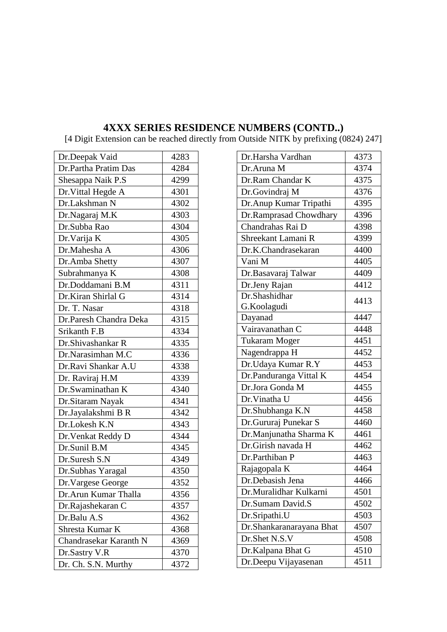#### **4XXX SERIES RESIDENCE NUMBERS (CONTD..)**

| Dr.Deepak Vaid<br>4283<br>Dr.Partha Pratim Das<br>4284<br>Shesappa Naik P.S<br>4299<br>Dr. Vittal Hegde A<br>4301<br>Dr.Lakshman N<br>4302<br>Dr.Nagaraj M.K<br>4303<br>Dr.Subba Rao<br>4304<br>4305<br>Dr. Varija K<br>4306<br>Dr.Mahesha A<br>Dr.Amba Shetty<br>4307<br>Subrahmanya K<br>4308<br>Dr.Doddamani B.M<br>4311<br>Dr.Kiran Shirlal G<br>4314<br>Dr. T. Nasar<br>4318<br>Dr.Paresh Chandra Deka<br>4315<br>Srikanth F.B<br>4334<br>Dr.Shivashankar R<br>4335<br>Dr.Narasimhan M.C<br>4336<br>Dr.Ravi Shankar A.U<br>4338<br>Dr. Raviraj H.M<br>4339<br>Dr.Swaminathan K<br>4340<br>Dr.Sitaram Nayak<br>4341<br>4342<br>Dr.Jayalakshmi B R<br>Dr.Lokesh K.N<br>4343<br>4344<br>Dr. Venkat Reddy D<br>Dr.Sunil B.M<br>4345<br>Dr.Suresh S.N<br>4349<br>4350<br>Dr.Subhas Yaragal<br>4352<br>Dr.Vargese George<br>Dr.Arun Kumar Thalla<br>4356<br>4357<br>Dr.Rajashekaran C<br>Dr.Balu A.S<br>4362<br>Shresta Kumar K<br>4368<br>Chandrasekar Karanth N<br>4369<br>4370<br>Dr.Sastry V.R<br>Dr. Ch. S.N. Murthy<br>4372 |  |
|----------------------------------------------------------------------------------------------------------------------------------------------------------------------------------------------------------------------------------------------------------------------------------------------------------------------------------------------------------------------------------------------------------------------------------------------------------------------------------------------------------------------------------------------------------------------------------------------------------------------------------------------------------------------------------------------------------------------------------------------------------------------------------------------------------------------------------------------------------------------------------------------------------------------------------------------------------------------------------------------------------------------------------|--|
|                                                                                                                                                                                                                                                                                                                                                                                                                                                                                                                                                                                                                                                                                                                                                                                                                                                                                                                                                                                                                                  |  |
|                                                                                                                                                                                                                                                                                                                                                                                                                                                                                                                                                                                                                                                                                                                                                                                                                                                                                                                                                                                                                                  |  |
|                                                                                                                                                                                                                                                                                                                                                                                                                                                                                                                                                                                                                                                                                                                                                                                                                                                                                                                                                                                                                                  |  |
|                                                                                                                                                                                                                                                                                                                                                                                                                                                                                                                                                                                                                                                                                                                                                                                                                                                                                                                                                                                                                                  |  |
|                                                                                                                                                                                                                                                                                                                                                                                                                                                                                                                                                                                                                                                                                                                                                                                                                                                                                                                                                                                                                                  |  |
|                                                                                                                                                                                                                                                                                                                                                                                                                                                                                                                                                                                                                                                                                                                                                                                                                                                                                                                                                                                                                                  |  |
|                                                                                                                                                                                                                                                                                                                                                                                                                                                                                                                                                                                                                                                                                                                                                                                                                                                                                                                                                                                                                                  |  |
|                                                                                                                                                                                                                                                                                                                                                                                                                                                                                                                                                                                                                                                                                                                                                                                                                                                                                                                                                                                                                                  |  |
|                                                                                                                                                                                                                                                                                                                                                                                                                                                                                                                                                                                                                                                                                                                                                                                                                                                                                                                                                                                                                                  |  |
|                                                                                                                                                                                                                                                                                                                                                                                                                                                                                                                                                                                                                                                                                                                                                                                                                                                                                                                                                                                                                                  |  |
|                                                                                                                                                                                                                                                                                                                                                                                                                                                                                                                                                                                                                                                                                                                                                                                                                                                                                                                                                                                                                                  |  |
|                                                                                                                                                                                                                                                                                                                                                                                                                                                                                                                                                                                                                                                                                                                                                                                                                                                                                                                                                                                                                                  |  |
|                                                                                                                                                                                                                                                                                                                                                                                                                                                                                                                                                                                                                                                                                                                                                                                                                                                                                                                                                                                                                                  |  |
|                                                                                                                                                                                                                                                                                                                                                                                                                                                                                                                                                                                                                                                                                                                                                                                                                                                                                                                                                                                                                                  |  |
|                                                                                                                                                                                                                                                                                                                                                                                                                                                                                                                                                                                                                                                                                                                                                                                                                                                                                                                                                                                                                                  |  |
|                                                                                                                                                                                                                                                                                                                                                                                                                                                                                                                                                                                                                                                                                                                                                                                                                                                                                                                                                                                                                                  |  |
|                                                                                                                                                                                                                                                                                                                                                                                                                                                                                                                                                                                                                                                                                                                                                                                                                                                                                                                                                                                                                                  |  |
|                                                                                                                                                                                                                                                                                                                                                                                                                                                                                                                                                                                                                                                                                                                                                                                                                                                                                                                                                                                                                                  |  |
|                                                                                                                                                                                                                                                                                                                                                                                                                                                                                                                                                                                                                                                                                                                                                                                                                                                                                                                                                                                                                                  |  |
|                                                                                                                                                                                                                                                                                                                                                                                                                                                                                                                                                                                                                                                                                                                                                                                                                                                                                                                                                                                                                                  |  |
|                                                                                                                                                                                                                                                                                                                                                                                                                                                                                                                                                                                                                                                                                                                                                                                                                                                                                                                                                                                                                                  |  |
|                                                                                                                                                                                                                                                                                                                                                                                                                                                                                                                                                                                                                                                                                                                                                                                                                                                                                                                                                                                                                                  |  |
|                                                                                                                                                                                                                                                                                                                                                                                                                                                                                                                                                                                                                                                                                                                                                                                                                                                                                                                                                                                                                                  |  |
|                                                                                                                                                                                                                                                                                                                                                                                                                                                                                                                                                                                                                                                                                                                                                                                                                                                                                                                                                                                                                                  |  |
|                                                                                                                                                                                                                                                                                                                                                                                                                                                                                                                                                                                                                                                                                                                                                                                                                                                                                                                                                                                                                                  |  |
|                                                                                                                                                                                                                                                                                                                                                                                                                                                                                                                                                                                                                                                                                                                                                                                                                                                                                                                                                                                                                                  |  |
|                                                                                                                                                                                                                                                                                                                                                                                                                                                                                                                                                                                                                                                                                                                                                                                                                                                                                                                                                                                                                                  |  |
|                                                                                                                                                                                                                                                                                                                                                                                                                                                                                                                                                                                                                                                                                                                                                                                                                                                                                                                                                                                                                                  |  |
|                                                                                                                                                                                                                                                                                                                                                                                                                                                                                                                                                                                                                                                                                                                                                                                                                                                                                                                                                                                                                                  |  |
|                                                                                                                                                                                                                                                                                                                                                                                                                                                                                                                                                                                                                                                                                                                                                                                                                                                                                                                                                                                                                                  |  |
|                                                                                                                                                                                                                                                                                                                                                                                                                                                                                                                                                                                                                                                                                                                                                                                                                                                                                                                                                                                                                                  |  |
|                                                                                                                                                                                                                                                                                                                                                                                                                                                                                                                                                                                                                                                                                                                                                                                                                                                                                                                                                                                                                                  |  |
|                                                                                                                                                                                                                                                                                                                                                                                                                                                                                                                                                                                                                                                                                                                                                                                                                                                                                                                                                                                                                                  |  |
|                                                                                                                                                                                                                                                                                                                                                                                                                                                                                                                                                                                                                                                                                                                                                                                                                                                                                                                                                                                                                                  |  |
|                                                                                                                                                                                                                                                                                                                                                                                                                                                                                                                                                                                                                                                                                                                                                                                                                                                                                                                                                                                                                                  |  |
|                                                                                                                                                                                                                                                                                                                                                                                                                                                                                                                                                                                                                                                                                                                                                                                                                                                                                                                                                                                                                                  |  |

| 4373 |
|------|
| 4374 |
| 4375 |
| 4376 |
| 4395 |
| 4396 |
| 4398 |
| 4399 |
| 4400 |
| 4405 |
| 4409 |
| 4412 |
| 4413 |
|      |
| 4447 |
| 4448 |
| 4451 |
| 4452 |
| 4453 |
| 4454 |
| 4455 |
| 4456 |
| 4458 |
| 4460 |
| 4461 |
| 4462 |
| 4463 |
| 4464 |
| 4466 |
| 4501 |
| 4502 |
| 4503 |
| 4507 |
| 4508 |
| 4510 |
| 4511 |
|      |